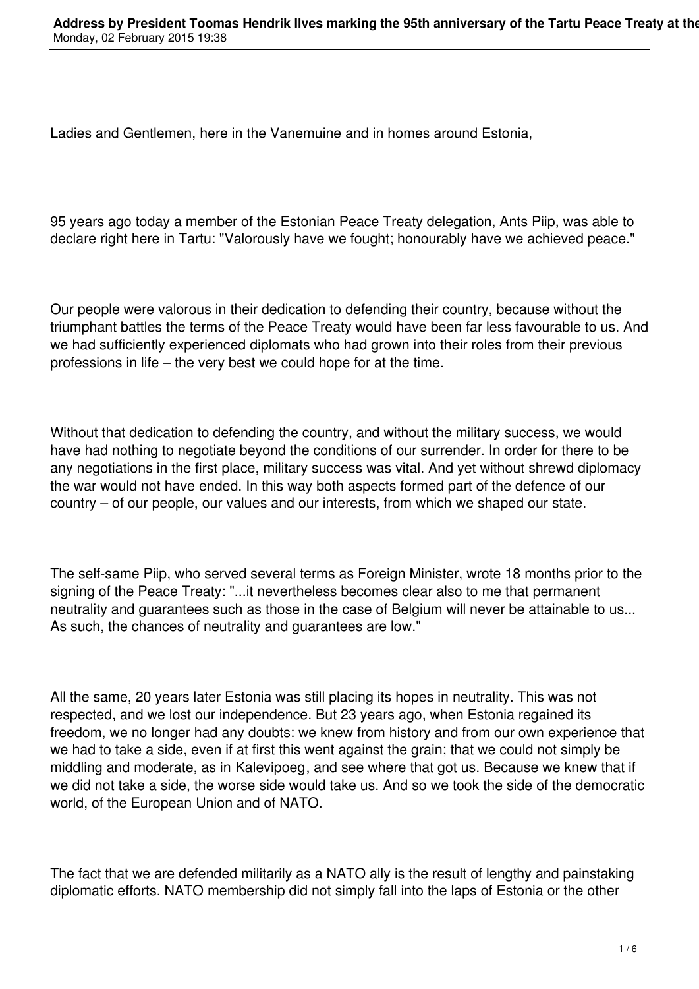Ladies and Gentlemen, here in the Vanemuine and in homes around Estonia,

95 years ago today a member of the Estonian Peace Treaty delegation, Ants Piip, was able to declare right here in Tartu: "Valorously have we fought; honourably have we achieved peace."

Our people were valorous in their dedication to defending their country, because without the triumphant battles the terms of the Peace Treaty would have been far less favourable to us. And we had sufficiently experienced diplomats who had grown into their roles from their previous professions in life – the very best we could hope for at the time.

Without that dedication to defending the country, and without the military success, we would have had nothing to negotiate beyond the conditions of our surrender. In order for there to be any negotiations in the first place, military success was vital. And yet without shrewd diplomacy the war would not have ended. In this way both aspects formed part of the defence of our country – of our people, our values and our interests, from which we shaped our state.

The self-same Piip, who served several terms as Foreign Minister, wrote 18 months prior to the signing of the Peace Treaty: "...it nevertheless becomes clear also to me that permanent neutrality and guarantees such as those in the case of Belgium will never be attainable to us... As such, the chances of neutrality and guarantees are low."

All the same, 20 years later Estonia was still placing its hopes in neutrality. This was not respected, and we lost our independence. But 23 years ago, when Estonia regained its freedom, we no longer had any doubts: we knew from history and from our own experience that we had to take a side, even if at first this went against the grain; that we could not simply be middling and moderate, as in Kalevipoeg, and see where that got us. Because we knew that if we did not take a side, the worse side would take us. And so we took the side of the democratic world, of the European Union and of NATO.

The fact that we are defended militarily as a NATO ally is the result of lengthy and painstaking diplomatic efforts. NATO membership did not simply fall into the laps of Estonia or the other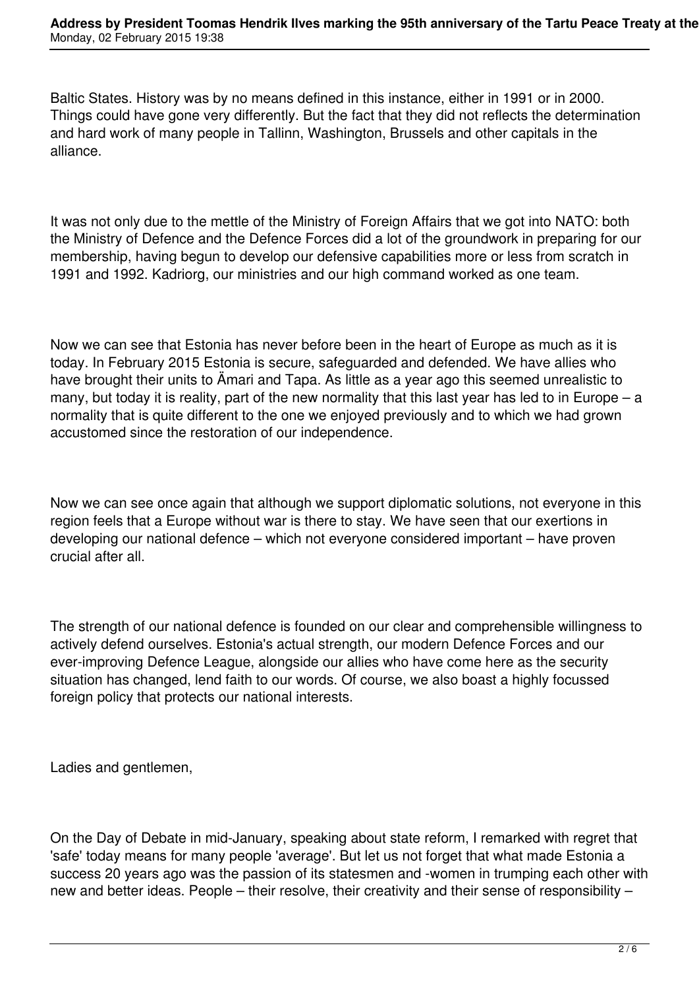Baltic States. History was by no means defined in this instance, either in 1991 or in 2000. Things could have gone very differently. But the fact that they did not reflects the determination and hard work of many people in Tallinn, Washington, Brussels and other capitals in the alliance.

It was not only due to the mettle of the Ministry of Foreign Affairs that we got into NATO: both the Ministry of Defence and the Defence Forces did a lot of the groundwork in preparing for our membership, having begun to develop our defensive capabilities more or less from scratch in 1991 and 1992. Kadriorg, our ministries and our high command worked as one team.

Now we can see that Estonia has never before been in the heart of Europe as much as it is today. In February 2015 Estonia is secure, safeguarded and defended. We have allies who have brought their units to Ämari and Tapa. As little as a year ago this seemed unrealistic to many, but today it is reality, part of the new normality that this last year has led to in Europe – a normality that is quite different to the one we enjoyed previously and to which we had grown accustomed since the restoration of our independence.

Now we can see once again that although we support diplomatic solutions, not everyone in this region feels that a Europe without war is there to stay. We have seen that our exertions in developing our national defence – which not everyone considered important – have proven crucial after all.

The strength of our national defence is founded on our clear and comprehensible willingness to actively defend ourselves. Estonia's actual strength, our modern Defence Forces and our ever-improving Defence League, alongside our allies who have come here as the security situation has changed, lend faith to our words. Of course, we also boast a highly focussed foreign policy that protects our national interests.

Ladies and gentlemen,

On the Day of Debate in mid-January, speaking about state reform, I remarked with regret that 'safe' today means for many people 'average'. But let us not forget that what made Estonia a success 20 years ago was the passion of its statesmen and -women in trumping each other with new and better ideas. People – their resolve, their creativity and their sense of responsibility –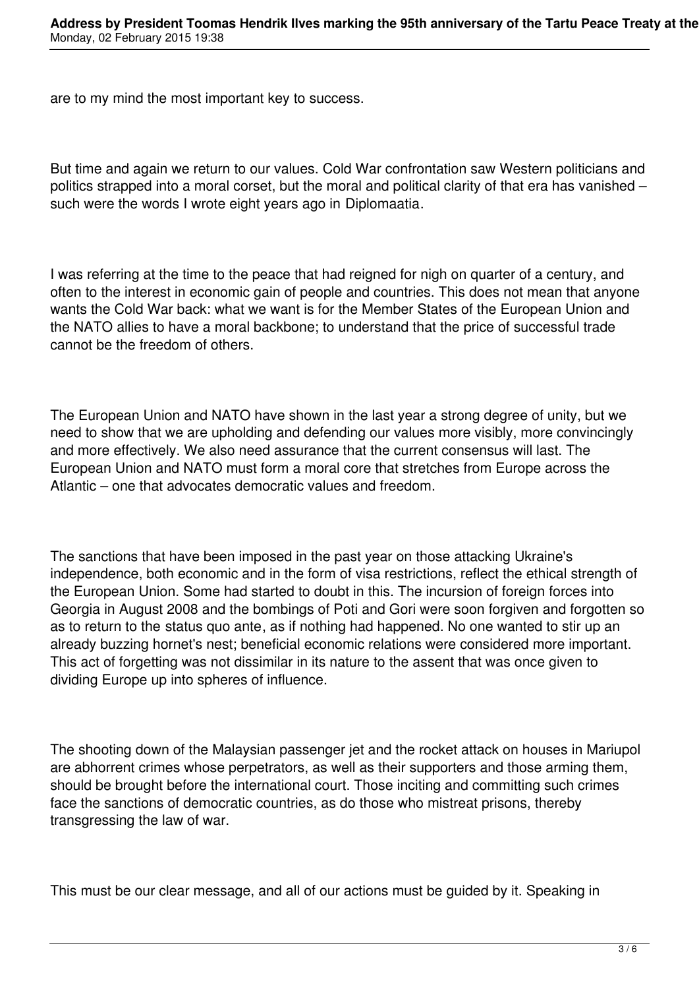are to my mind the most important key to success.

But time and again we return to our values. Cold War confrontation saw Western politicians and politics strapped into a moral corset, but the moral and political clarity of that era has vanished – such were the words I wrote eight years ago in Diplomaatia.

I was referring at the time to the peace that had reigned for nigh on quarter of a century, and often to the interest in economic gain of people and countries. This does not mean that anyone wants the Cold War back: what we want is for the Member States of the European Union and the NATO allies to have a moral backbone; to understand that the price of successful trade cannot be the freedom of others.

The European Union and NATO have shown in the last year a strong degree of unity, but we need to show that we are upholding and defending our values more visibly, more convincingly and more effectively. We also need assurance that the current consensus will last. The European Union and NATO must form a moral core that stretches from Europe across the Atlantic – one that advocates democratic values and freedom.

The sanctions that have been imposed in the past year on those attacking Ukraine's independence, both economic and in the form of visa restrictions, reflect the ethical strength of the European Union. Some had started to doubt in this. The incursion of foreign forces into Georgia in August 2008 and the bombings of Poti and Gori were soon forgiven and forgotten so as to return to the status quo ante, as if nothing had happened. No one wanted to stir up an already buzzing hornet's nest; beneficial economic relations were considered more important. This act of forgetting was not dissimilar in its nature to the assent that was once given to dividing Europe up into spheres of influence.

The shooting down of the Malaysian passenger jet and the rocket attack on houses in Mariupol are abhorrent crimes whose perpetrators, as well as their supporters and those arming them, should be brought before the international court. Those inciting and committing such crimes face the sanctions of democratic countries, as do those who mistreat prisons, thereby transgressing the law of war.

This must be our clear message, and all of our actions must be guided by it. Speaking in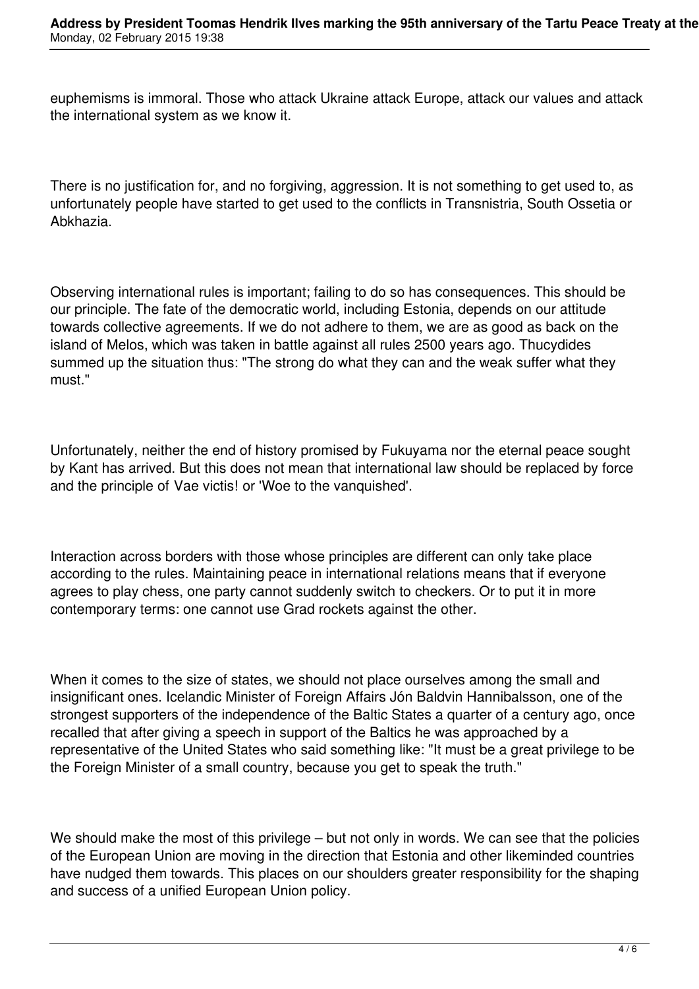euphemisms is immoral. Those who attack Ukraine attack Europe, attack our values and attack the international system as we know it.

There is no justification for, and no forgiving, aggression. It is not something to get used to, as unfortunately people have started to get used to the conflicts in Transnistria, South Ossetia or Abkhazia.

Observing international rules is important; failing to do so has consequences. This should be our principle. The fate of the democratic world, including Estonia, depends on our attitude towards collective agreements. If we do not adhere to them, we are as good as back on the island of Melos, which was taken in battle against all rules 2500 years ago. Thucydides summed up the situation thus: "The strong do what they can and the weak suffer what they must."

Unfortunately, neither the end of history promised by Fukuyama nor the eternal peace sought by Kant has arrived. But this does not mean that international law should be replaced by force and the principle of Vae victis! or 'Woe to the vanquished'.

Interaction across borders with those whose principles are different can only take place according to the rules. Maintaining peace in international relations means that if everyone agrees to play chess, one party cannot suddenly switch to checkers. Or to put it in more contemporary terms: one cannot use Grad rockets against the other.

When it comes to the size of states, we should not place ourselves among the small and insignificant ones. Icelandic Minister of Foreign Affairs Jón Baldvin Hannibalsson, one of the strongest supporters of the independence of the Baltic States a quarter of a century ago, once recalled that after giving a speech in support of the Baltics he was approached by a representative of the United States who said something like: "It must be a great privilege to be the Foreign Minister of a small country, because you get to speak the truth."

We should make the most of this privilege – but not only in words. We can see that the policies of the European Union are moving in the direction that Estonia and other likeminded countries have nudged them towards. This places on our shoulders greater responsibility for the shaping and success of a unified European Union policy.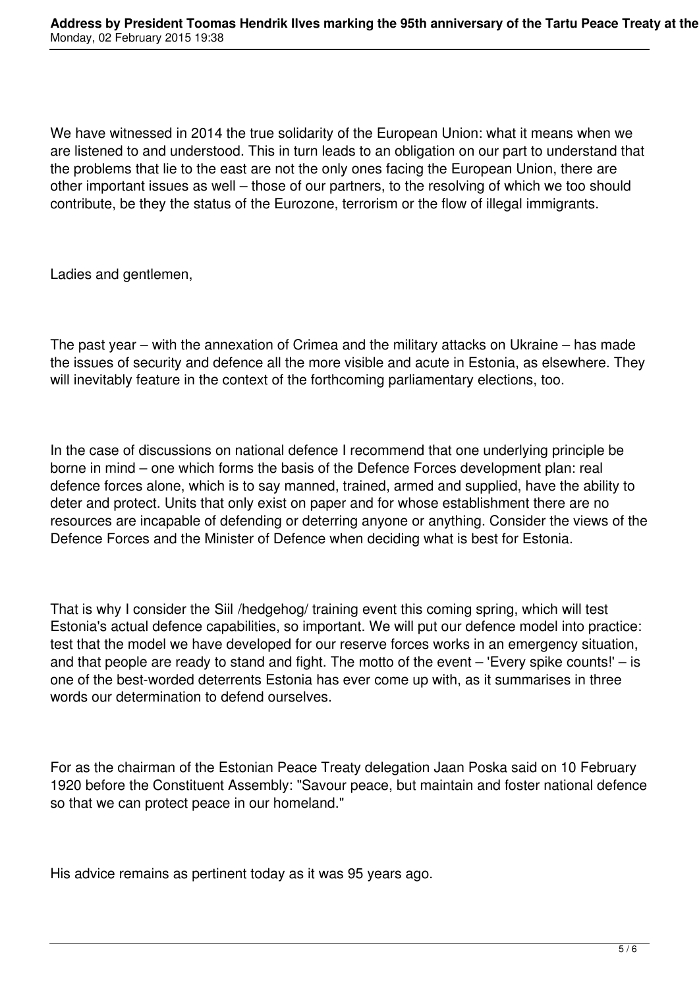We have witnessed in 2014 the true solidarity of the European Union: what it means when we are listened to and understood. This in turn leads to an obligation on our part to understand that the problems that lie to the east are not the only ones facing the European Union, there are other important issues as well – those of our partners, to the resolving of which we too should contribute, be they the status of the Eurozone, terrorism or the flow of illegal immigrants.

Ladies and gentlemen,

The past year – with the annexation of Crimea and the military attacks on Ukraine – has made the issues of security and defence all the more visible and acute in Estonia, as elsewhere. They will inevitably feature in the context of the forthcoming parliamentary elections, too.

In the case of discussions on national defence I recommend that one underlying principle be borne in mind – one which forms the basis of the Defence Forces development plan: real defence forces alone, which is to say manned, trained, armed and supplied, have the ability to deter and protect. Units that only exist on paper and for whose establishment there are no resources are incapable of defending or deterring anyone or anything. Consider the views of the Defence Forces and the Minister of Defence when deciding what is best for Estonia.

That is why I consider the Siil /hedgehog/ training event this coming spring, which will test Estonia's actual defence capabilities, so important. We will put our defence model into practice: test that the model we have developed for our reserve forces works in an emergency situation, and that people are ready to stand and fight. The motto of the event – 'Every spike counts!' – is one of the best-worded deterrents Estonia has ever come up with, as it summarises in three words our determination to defend ourselves.

For as the chairman of the Estonian Peace Treaty delegation Jaan Poska said on 10 February 1920 before the Constituent Assembly: "Savour peace, but maintain and foster national defence so that we can protect peace in our homeland."

His advice remains as pertinent today as it was 95 years ago.